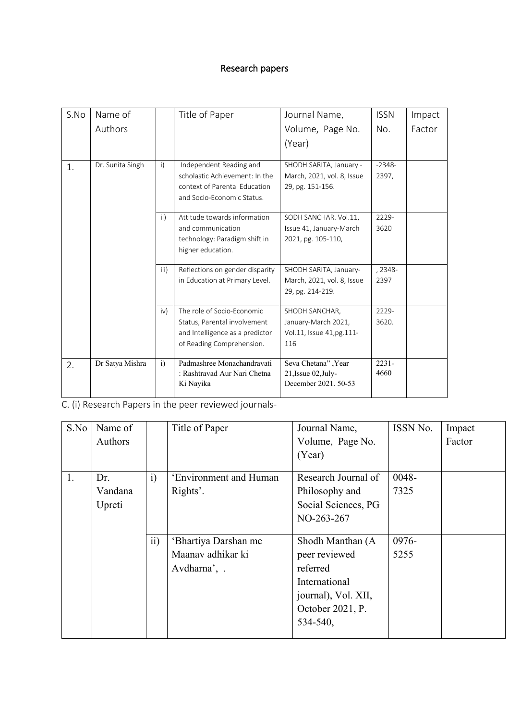## Research papers

| S.No | Name of          |              | Title of Paper                  | Journal Name,              | <b>ISSN</b> | Impact |
|------|------------------|--------------|---------------------------------|----------------------------|-------------|--------|
|      | Authors          |              |                                 | Volume, Page No.           | No.         | Factor |
|      |                  |              |                                 | (Year)                     |             |        |
| 1.   | Dr. Sunita Singh | $\mathsf{i}$ | Independent Reading and         | SHODH SARITA, January -    | $-2348-$    |        |
|      |                  |              | scholastic Achievement: In the  | March, 2021, vol. 8, Issue | 2397,       |        |
|      |                  |              | context of Parental Education   | 29, pg. 151-156.           |             |        |
|      |                  |              | and Socio-Economic Status.      |                            |             |        |
|      |                  | ii)          | Attitude towards information    | SODH SANCHAR. Vol.11,      | 2229-       |        |
|      |                  |              | and communication               | Issue 41, January-March    | 3620        |        |
|      |                  |              | technology: Paradigm shift in   | 2021, pg. 105-110,         |             |        |
|      |                  |              | higher education.               |                            |             |        |
|      |                  | iii)         | Reflections on gender disparity | SHODH SARITA, January-     | , 2348-     |        |
|      |                  |              | in Education at Primary Level.  | March, 2021, vol. 8, Issue | 2397        |        |
|      |                  |              |                                 | 29, pg. 214-219.           |             |        |
|      |                  | iv)          | The role of Socio-Economic      | SHODH SANCHAR,             | 2229-       |        |
|      |                  |              | Status, Parental involvement    | January-March 2021,        | 3620.       |        |
|      |                  |              | and Intelligence as a predictor | Vol.11, Issue 41,pg.111-   |             |        |
|      |                  |              | of Reading Comprehension.       | 116                        |             |        |
| 2.   | Dr Satya Mishra  | i)           | Padmashree Monachandravati      | Seva Chetana", Year        | $2231 -$    |        |
|      |                  |              | : Rashtravad Aur Nari Chetna    | 21, Issue 02, July-        | 4660        |        |
|      |                  |              | Ki Nayika                       | December 2021, 50-53       |             |        |

C. (i) Research Papers in the peer reviewed journals-

| S.No | Name of |                 | Title of Paper         | Journal Name,       | ISSN No. | Impact |
|------|---------|-----------------|------------------------|---------------------|----------|--------|
|      | Authors |                 |                        | Volume, Page No.    |          | Factor |
|      |         |                 |                        | (Year)              |          |        |
| 1.   | Dr.     | i)              | 'Environment and Human | Research Journal of | 0048-    |        |
|      | Vandana |                 | Rights'.               | Philosophy and      | 7325     |        |
|      | Upreti  |                 |                        | Social Sciences, PG |          |        |
|      |         |                 |                        | NO-263-267          |          |        |
|      |         |                 |                        |                     |          |        |
|      |         | $\overline{ii}$ | 'Bhartiya Darshan me   | Shodh Manthan (A    | 0976-    |        |
|      |         |                 | Maanav adhikar ki      | peer reviewed       | 5255     |        |
|      |         |                 | Avdharna', .           | referred            |          |        |
|      |         |                 |                        | International       |          |        |
|      |         |                 |                        | journal), Vol. XII, |          |        |
|      |         |                 |                        | October 2021, P.    |          |        |
|      |         |                 |                        | 534-540,            |          |        |
|      |         |                 |                        |                     |          |        |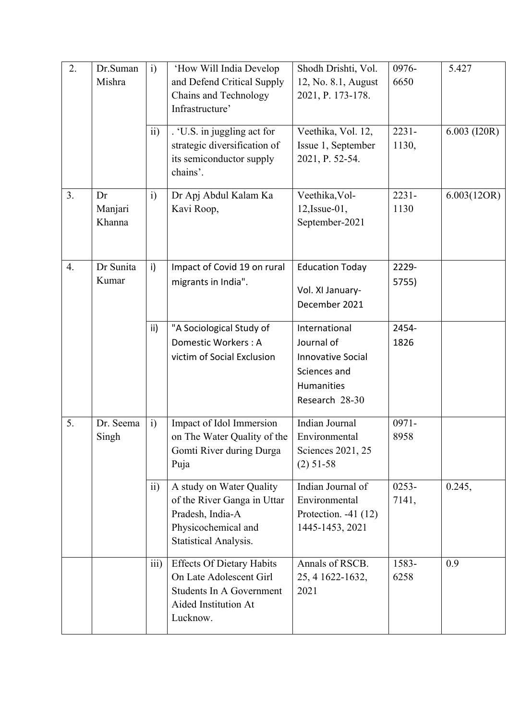| 2. | Dr.Suman<br>Mishra      | $\ddot{i}$        | 'How Will India Develop<br>and Defend Critical Supply<br>Chains and Technology<br>Infrastructure'                           | Shodh Drishti, Vol.<br>12, No. 8.1, August<br>2021, P. 173-178.                                         | 0976-<br>6650     | 5.427        |
|----|-------------------------|-------------------|-----------------------------------------------------------------------------------------------------------------------------|---------------------------------------------------------------------------------------------------------|-------------------|--------------|
|    |                         | $\overline{ii}$ ) | . 'U.S. in juggling act for<br>strategic diversification of<br>its semiconductor supply<br>chains'.                         | Veethika, Vol. 12,<br>Issue 1, September<br>2021, P. 52-54.                                             | $2231 -$<br>1130, | 6.003 (I20R) |
| 3. | Dr<br>Manjari<br>Khanna | $\ddot{i}$        | Dr Apj Abdul Kalam Ka<br>Kavi Roop,                                                                                         | Veethika, Vol-<br>$12$ , Issue-01,<br>September-2021                                                    | $2231 -$<br>1130  | 6.003(12OR)  |
| 4. | Dr Sunita<br>Kumar      | $\mathsf{i}$      | Impact of Covid 19 on rural<br>migrants in India".                                                                          | <b>Education Today</b><br>Vol. XI January-<br>December 2021                                             | 2229-<br>5755)    |              |
|    |                         | ii)               | "A Sociological Study of<br>Domestic Workers: A<br>victim of Social Exclusion                                               | International<br>Journal of<br><b>Innovative Social</b><br>Sciences and<br>Humanities<br>Research 28-30 | 2454-<br>1826     |              |
| 5. | Dr. Seema<br>Singh      | $\ddot{i}$        | Impact of Idol Immersion<br>on The Water Quality of the<br>Gomti River during Durga<br>Puja                                 | Indian Journal<br>Environmental<br>Sciences 2021, 25<br>$(2)$ 51-58                                     | $0971 -$<br>8958  |              |
|    |                         | ii)               | A study on Water Quality<br>of the River Ganga in Uttar<br>Pradesh, India-A<br>Physicochemical and<br>Statistical Analysis. | Indian Journal of<br>Environmental<br>Protection. $-41(12)$<br>1445-1453, 2021                          | $0253 -$<br>7141, | 0.245,       |
|    |                         | iii)              | <b>Effects Of Dietary Habits</b><br>On Late Adolescent Girl<br>Students In A Government<br>Aided Institution At<br>Lucknow. | Annals of RSCB.<br>25, 4 1622-1632,<br>2021                                                             | 1583-<br>6258     | 0.9          |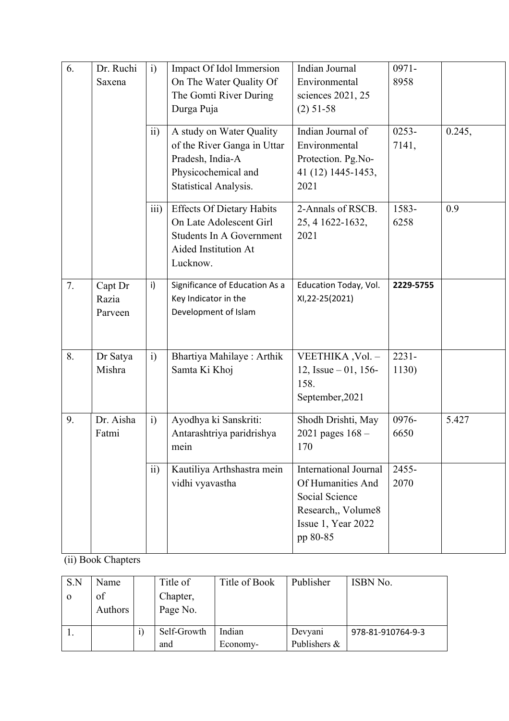| 6. | Dr. Ruchi<br>Saxena         | $\ddot{i}$<br>$\overline{11}$ | Impact Of Idol Immersion<br>On The Water Quality Of<br>The Gomti River During<br>Durga Puja<br>A study on Water Quality<br>of the River Ganga in Uttar | Indian Journal<br>Environmental<br>sciences 2021, 25<br>$(2)$ 51-58<br>Indian Journal of<br>Environmental                   | $0971 -$<br>8958<br>$0253 -$<br>7141, | 0.245, |
|----|-----------------------------|-------------------------------|--------------------------------------------------------------------------------------------------------------------------------------------------------|-----------------------------------------------------------------------------------------------------------------------------|---------------------------------------|--------|
|    |                             |                               | Pradesh, India-A<br>Physicochemical and<br>Statistical Analysis.                                                                                       | Protection. Pg.No-<br>41 (12) 1445-1453,<br>2021                                                                            |                                       |        |
|    |                             | iii)                          | <b>Effects Of Dietary Habits</b><br>On Late Adolescent Girl<br><b>Students In A Government</b><br>Aided Institution At<br>Lucknow.                     | 2-Annals of RSCB.<br>25, 4 1622-1632,<br>2021                                                                               | 1583-<br>6258                         | 0.9    |
| 7. | Capt Dr<br>Razia<br>Parveen | i)                            | Significance of Education As a<br>Key Indicator in the<br>Development of Islam                                                                         | Education Today, Vol.<br>XI, 22-25 (2021)                                                                                   | 2229-5755                             |        |
| 8. | Dr Satya<br>Mishra          | $\mathbf{i}$                  | Bhartiya Mahilaye: Arthik<br>Samta Ki Khoj                                                                                                             | VEETHIKA, Vol. -<br>12, Issue $-01$ , 156-<br>158.<br>September, 2021                                                       | $2231 -$<br>1130)                     |        |
| 9. | Dr. Aisha<br>Fatmi          | i)                            | Ayodhya ki Sanskriti:<br>Antarashtriya paridrishya<br>mein                                                                                             | Shodh Drishti, May<br>2021 pages $168 -$<br>170                                                                             | 0976-<br>6650                         | 5.427  |
|    |                             | ii)                           | Kautiliya Arthshastra mein<br>vidhi vyavastha                                                                                                          | <b>International Journal</b><br>Of Humanities And<br>Social Science<br>Research,, Volume8<br>Issue 1, Year 2022<br>pp 80-85 | 2455-<br>2070                         |        |

(ii) Book Chapters

| S.N      | Name           | Title of    | Title of Book | Publisher    | ISBN No.          |
|----------|----------------|-------------|---------------|--------------|-------------------|
| $\Omega$ | of             | Chapter,    |               |              |                   |
|          | <b>Authors</b> | Page No.    |               |              |                   |
|          |                |             |               |              |                   |
|          |                | Self-Growth | Indian        | Devyani      | 978-81-910764-9-3 |
|          |                | and         | Economy-      | Publishers & |                   |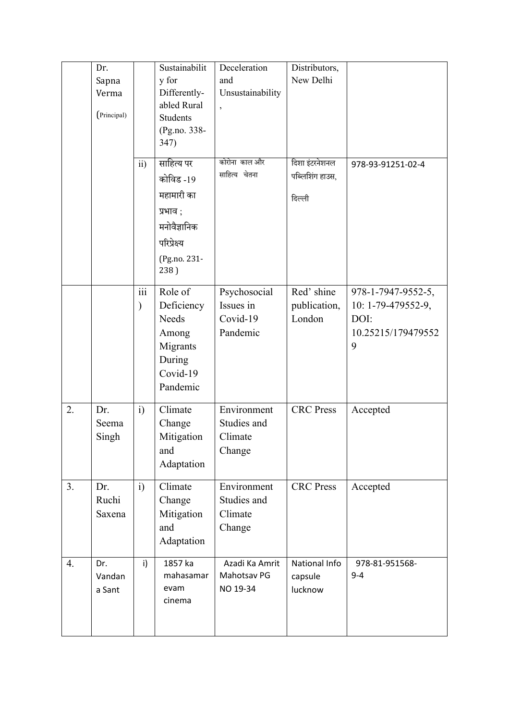|    | Dr.<br>Sapna<br>Verma<br>(Principal) |                                | Sustainabilit<br>y for<br>Differently-<br>abled Rural<br><b>Students</b><br>(Pg.no. 338-<br>347)          | Deceleration<br>and<br>Unsustainability           | Distributors,<br>New Delhi                  |                                                                             |
|----|--------------------------------------|--------------------------------|-----------------------------------------------------------------------------------------------------------|---------------------------------------------------|---------------------------------------------|-----------------------------------------------------------------------------|
|    |                                      | ii)                            | साहित्य पर<br>कोविड -19<br>महामारी का<br>प्रभाव ;<br>मनोवैज्ञानिक<br>परिप्रेक्ष्य<br>(Pg.no. 231-<br>238) | कोरोना काल और<br>साहित्य चेतना                    | दिशा इंटरनेशनल<br>पब्लिशिंग हाउस,<br>दिल्ली | 978-93-91251-02-4                                                           |
|    |                                      | $\overline{\textbf{iii}}$<br>⟩ | Role of<br>Deficiency<br><b>Needs</b><br>Among<br>Migrants<br>During<br>Covid-19<br>Pandemic              | Psychosocial<br>Issues in<br>Covid-19<br>Pandemic | Red' shine<br>publication,<br>London        | 978-1-7947-9552-5,<br>10: 1-79-479552-9,<br>DOI:<br>10.25215/179479552<br>9 |
| 2. | Dr.<br>Seema<br>Singh                | i)                             | Climate<br>Change<br>Mitigation<br>and<br>Adaptation                                                      | Environment<br>Studies and<br>Climate<br>Change   | <b>CRC</b> Press                            | Accepted                                                                    |
| 3. | Dr.<br>Ruchi<br>Saxena               | i)                             | Climate<br>Change<br>Mitigation<br>and<br>Adaptation                                                      | Environment<br>Studies and<br>Climate<br>Change   | <b>CRC</b> Press                            | Accepted                                                                    |
| 4. | Dr.<br>Vandan<br>a Sant              | i)                             | 1857 ka<br>mahasamar<br>evam<br>cinema                                                                    | Azadi Ka Amrit<br>Mahotsav PG<br>NO 19-34         | National Info<br>capsule<br>lucknow         | 978-81-951568-<br>$9 - 4$                                                   |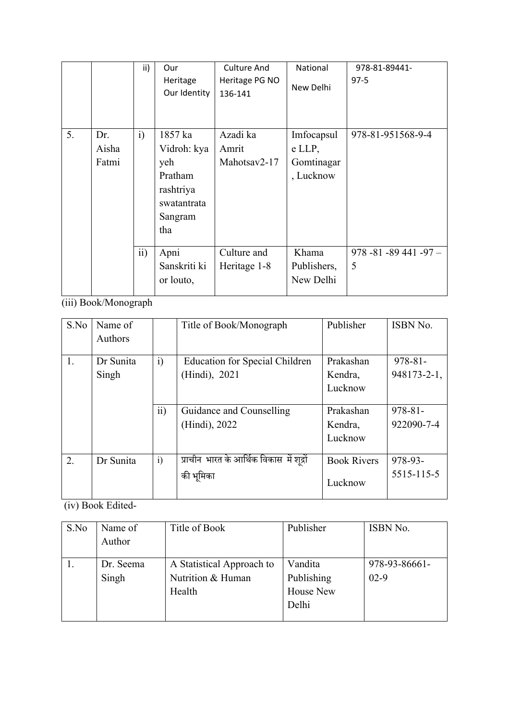|    |       | ii)               | Our          | <b>Culture And</b> | National    | 978-81-89441-           |
|----|-------|-------------------|--------------|--------------------|-------------|-------------------------|
|    |       |                   | Heritage     | Heritage PG NO     | New Delhi   | $97-5$                  |
|    |       |                   | Our Identity | 136-141            |             |                         |
|    |       |                   |              |                    |             |                         |
|    |       |                   |              |                    |             |                         |
| 5. | Dr.   | $\ddot{i}$        | 1857 ka      | Azadi ka           | Imfocapsul  | 978-81-951568-9-4       |
|    | Aisha |                   | Vidroh: kya  | Amrit              | e LLP,      |                         |
|    | Fatmi |                   | yeh          | Mahotsay2-17       | Gomtinagar  |                         |
|    |       |                   | Pratham      |                    | , Lucknow   |                         |
|    |       |                   | rashtriya    |                    |             |                         |
|    |       |                   | swatantrata  |                    |             |                         |
|    |       |                   | Sangram      |                    |             |                         |
|    |       |                   | tha          |                    |             |                         |
|    |       |                   |              |                    |             |                         |
|    |       | $\overline{ii}$ ) | Apni         | Culture and        | Khama       | $978 - 81 - 89441 - 97$ |
|    |       |                   | Sanskriti ki | Heritage 1-8       | Publishers, | 5                       |
|    |       |                   | or louto,    |                    | New Delhi   |                         |
|    |       |                   |              |                    |             |                         |

(iii) Book/Monograph

| S.No | Name of<br>Authors |                 | Title of Book/Monograph                   | Publisher          | ISBN No.     |
|------|--------------------|-----------------|-------------------------------------------|--------------------|--------------|
|      |                    |                 |                                           |                    |              |
| 1.   | Dr Sunita          | $\ddot{i}$      | <b>Education for Special Children</b>     | Prakashan          | $978 - 81 -$ |
|      | Singh              |                 | (Hindi), 2021                             | Kendra,            | 948173-2-1,  |
|      |                    |                 |                                           | Lucknow            |              |
|      |                    |                 |                                           |                    |              |
|      |                    | $\overline{11}$ | Guidance and Counselling                  | Prakashan          | $978 - 81 -$ |
|      |                    |                 | (Hindi), 2022                             | Kendra,            | 922090-7-4   |
|      |                    |                 |                                           | Lucknow            |              |
|      |                    |                 |                                           |                    |              |
| 2.   | Dr Sunita          | $\ddot{i}$      | प्राचीन भारत के आर्थिक विकास  में शुद्रों | <b>Book Rivers</b> | 978-93-      |
|      |                    |                 | की भूमिका                                 | Lucknow            | 5515-115-5   |

(iv) Book Edited-

| S.No | Name of<br>Author  | Title of Book                                            | Publisher                                          | ISBN No.                |
|------|--------------------|----------------------------------------------------------|----------------------------------------------------|-------------------------|
|      | Dr. Seema<br>Singh | A Statistical Approach to<br>Nutrition & Human<br>Health | Vandita<br>Publishing<br><b>House New</b><br>Delhi | 978-93-86661-<br>$02-9$ |